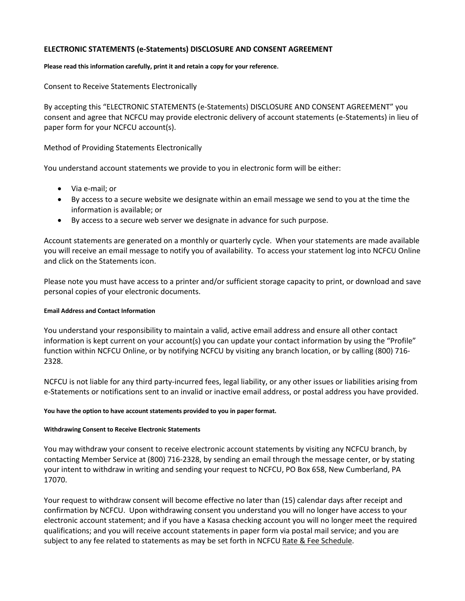# **ELECTRONIC STATEMENTS (e-Statements) DISCLOSURE AND CONSENT AGREEMENT**

## **Please read this information carefully, print it and retain a copy for your reference**.

Consent to Receive Statements Electronically

By accepting this "ELECTRONIC STATEMENTS (e-Statements) DISCLOSURE AND CONSENT AGREEMENT" you consent and agree that NCFCU may provide electronic delivery of account statements (e-Statements) in lieu of paper form for your NCFCU account(s).

Method of Providing Statements Electronically

You understand account statements we provide to you in electronic form will be either:

- Via e-mail; or
- By access to a secure website we designate within an email message we send to you at the time the information is available; or
- By access to a secure web server we designate in advance for such purpose.

Account statements are generated on a monthly or quarterly cycle. When your statements are made available you will receive an email message to notify you of availability. To access your statement log into NCFCU Online and click on the Statements icon.

Please note you must have access to a printer and/or sufficient storage capacity to print, or download and save personal copies of your electronic documents.

# **Email Address and Contact Information**

You understand your responsibility to maintain a valid, active email address and ensure all other contact information is kept current on your account(s) you can update your contact information by using the "Profile" function within NCFCU Online, or by notifying NCFCU by visiting any branch location, or by calling (800) 716- 2328.

NCFCU is not liable for any third party-incurred fees, legal liability, or any other issues or liabilities arising from e-Statements or notifications sent to an invalid or inactive email address, or postal address you have provided.

**You have the option to have account statements provided to you in paper format.**

# **Withdrawing Consent to Receive Electronic Statements**

You may withdraw your consent to receive electronic account statements by visiting any NCFCU branch, by contacting Member Service at (800) 716-2328, by sending an email through the message center, or by stating your intent to withdraw in writing and sending your request to NCFCU, PO Box 658, New Cumberland, PA 17070.

Your request to withdraw consent will become effective no later than (15) calendar days after receipt and confirmation by NCFCU. Upon withdrawing consent you understand you will no longer have access to your electronic account statement; and if you have a Kasasa checking account you will no longer meet the required qualifications; and you will receive account statements in paper form via postal mail service; and you are subject to any fee related to statements as may be set forth in NCFCU Rate & Fee Schedule.